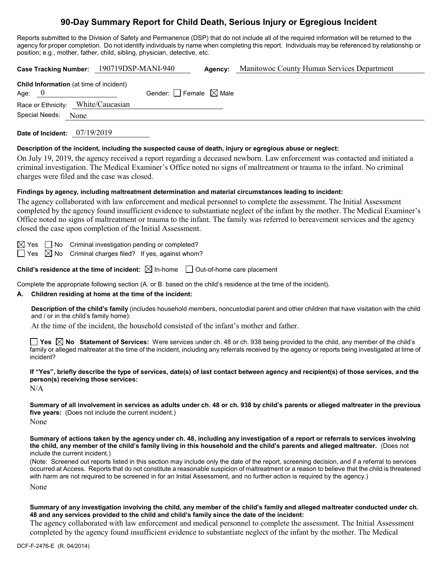# **90-Day Summary Report for Child Death, Serious Injury or Egregious Incident**

Reports submitted to the Division of Safety and Permanence (DSP) that do not include all of the required information will be returned to the agency for proper completion. Do not identify individuals by name when completing this report. Individuals may be referenced by relationship or position; e.g., mother, father, child, sibling, physician, detective, etc.

| <b>Case Tracking Number:</b>                               | 190719DSP-MANI-940              | Agency: | Manitowoc County Human Services Department |
|------------------------------------------------------------|---------------------------------|---------|--------------------------------------------|
| <b>Child Information</b> (at time of incident)<br>Age: $0$ | Gender: Female $\boxtimes$ Male |         |                                            |
| Race or Ethnicity: White/Caucasian                         |                                 |         |                                            |
| Special Needs:<br>None                                     |                                 |         |                                            |
| 07/19/2019<br>Date of Incident:                            |                                 |         |                                            |

## **Description of the incident, including the suspected cause of death, injury or egregious abuse or neglect:**

On July 19, 2019, the agency received a report regarding a deceased newborn. Law enforcement was contacted and initiated a criminal investigation. The Medical Examiner's Office noted no signs of maltreatment or trauma to the infant. No criminal charges were filed and the case was closed.

## **Findings by agency, including maltreatment determination and material circumstances leading to incident:**

The agency collaborated with law enforcement and medical personnel to complete the assessment. The Initial Assessment completed by the agency found insufficient evidence to substantiate neglect of the infant by the mother. The Medical Examiner's Office noted no signs of maltreatment or trauma to the infant. The family was referred to bereavement services and the agency closed the case upon completion of the Initial Assessment.

 $\boxtimes$  Yes  $\Box$  No Criminal investigation pending or completed?

 $\Box$  Yes  $\boxtimes$  No Criminal charges filed? If yes, against whom?

**Child's residence at the time of incident:**  $\boxtimes$  In-home  $\Box$  Out-of-home care placement

Complete the appropriate following section (A. or B. based on the child's residence at the time of the incident).

## **A. Children residing at home at the time of the incident:**

**Description of the child's family** (includes household members, noncustodial parent and other children that have visitation with the child and / or in the child's family home):

At the time of the incident, the household consisted of the infant's mother and father.

**Yes No Statement of Services:** Were services under ch. 48 or ch. 938 being provided to the child, any member of the child's family or alleged maltreater at the time of the incident, including any referrals received by the agency or reports being investigated at time of incident?

**If "Yes", briefly describe the type of services, date(s) of last contact between agency and recipient(s) of those services, and the person(s) receiving those services:**

N/A

**Summary of all involvement in services as adults under ch. 48 or ch. 938 by child's parents or alleged maltreater in the previous five years:** (Does not include the current incident.)

None

**Summary of actions taken by the agency under ch. 48, including any investigation of a report or referrals to services involving the child, any member of the child's family living in this household and the child's parents and alleged maltreater.** (Does not include the current incident.)

(Note: Screened out reports listed in this section may include only the date of the report, screening decision, and if a referral to services occurred at Access. Reports that do not constitute a reasonable suspicion of maltreatment or a reason to believe that the child is threatened with harm are not required to be screened in for an Initial Assessment, and no further action is required by the agency.)

None

# **Summary of any investigation involving the child, any member of the child's family and alleged maltreater conducted under ch. 48 and any services provided to the child and child's family since the date of the incident:**

The agency collaborated with law enforcement and medical personnel to complete the assessment. The Initial Assessment completed by the agency found insufficient evidence to substantiate neglect of the infant by the mother. The Medical